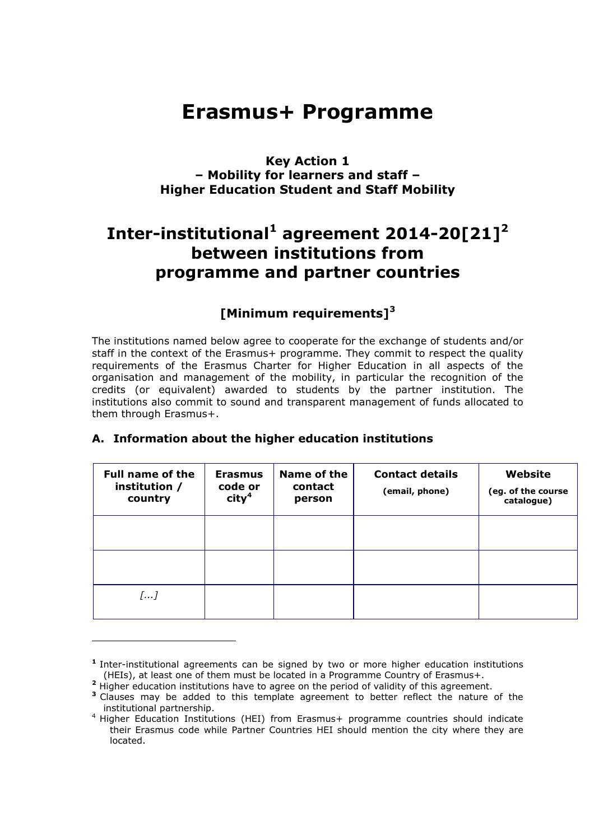# **Erasmus+ Programme**

## **Key Action 1 – Mobility for learners and staff – Higher Education Student and Staff Mobility**

# **Inter-institutional<sup>1</sup> agreement 2014-20[21]<sup>2</sup> between institutions from programme and partner countries**

## **[Minimum requirements]<sup>3</sup>**

The institutions named below agree to cooperate for the exchange of students and/or staff in the context of the Erasmus+ programme. They commit to respect the quality requirements of the Erasmus Charter for Higher Education in all aspects of the organisation and management of the mobility, in particular the recognition of the credits (or equivalent) awarded to students by the partner institution. The institutions also commit to sound and transparent management of funds allocated to them through Erasmus+.

| <b>Full name of the</b><br>institution /<br>country | <b>Erasmus</b><br>code or<br>$\mathsf{city}^4$ | Name of the<br>contact<br>person | <b>Contact details</b><br>(email, phone) | Website<br>(eg. of the course<br>catalogue) |
|-----------------------------------------------------|------------------------------------------------|----------------------------------|------------------------------------------|---------------------------------------------|
|                                                     |                                                |                                  |                                          |                                             |
|                                                     |                                                |                                  |                                          |                                             |
| []                                                  |                                                |                                  |                                          |                                             |

#### **A. Information about the higher education institutions**

 $\overline{a}$ 

**<sup>1</sup>** Inter-institutional agreements can be signed by two or more higher education institutions (HEIs), at least one of them must be located in a Programme Country of Erasmus+.

**<sup>2</sup>** Higher education institutions have to agree on the period of validity of this agreement.

**<sup>3</sup>** Clauses may be added to this template agreement to better reflect the nature of the institutional partnership.

<sup>4</sup> Higher Education Institutions (HEI) from Erasmus+ programme countries should indicate their Erasmus code while Partner Countries HEI should mention the city where they are located.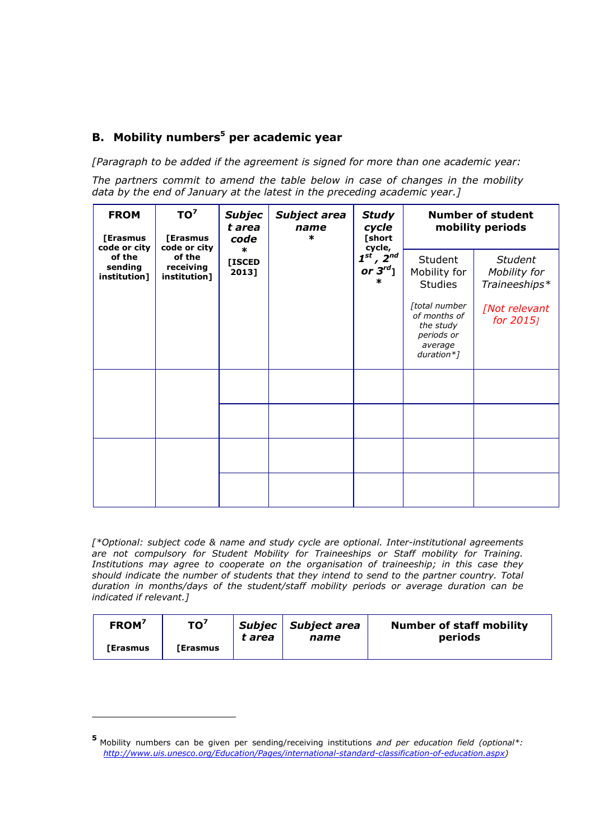## **B. Mobility numbers<sup>5</sup> per academic year**

*[Paragraph to be added if the agreement is signed for more than one academic year:*

*The partners commit to amend the table below in case of changes in the mobility data by the end of January at the latest in the preceding academic year.]*

| TO <sup>7</sup><br><b>FROM</b><br>[Erasmus<br>[Erasmus<br>code or city<br>code or city<br>$\ast$<br>of the<br>of the<br>sending<br>receiving<br>institution]<br>institution] | <b>Subjec</b><br>t area<br>name<br>$\ast$<br>code | Subject area | <b>Study</b><br>cycle<br>[short<br>cycle,<br>$2^{nd}$<br>$\boldsymbol{1}^{\boldsymbol{st}}$<br>or $3^{rd}$ ]<br>ж | <b>Number of student</b><br>mobility periods |                                                                                   |                            |
|------------------------------------------------------------------------------------------------------------------------------------------------------------------------------|---------------------------------------------------|--------------|-------------------------------------------------------------------------------------------------------------------|----------------------------------------------|-----------------------------------------------------------------------------------|----------------------------|
|                                                                                                                                                                              | [ISCED<br>2013]                                   |              |                                                                                                                   | Student<br>Mobility for<br><b>Studies</b>    | <b>Student</b><br>Mobility for<br>Traineeships*                                   |                            |
|                                                                                                                                                                              |                                                   |              |                                                                                                                   |                                              | [total number<br>of months of<br>the study<br>periods or<br>average<br>duration*] | [Not relevant<br>for 2015] |
|                                                                                                                                                                              |                                                   |              |                                                                                                                   |                                              |                                                                                   |                            |
|                                                                                                                                                                              |                                                   |              |                                                                                                                   |                                              |                                                                                   |                            |
|                                                                                                                                                                              |                                                   |              |                                                                                                                   |                                              |                                                                                   |                            |
|                                                                                                                                                                              |                                                   |              |                                                                                                                   |                                              |                                                                                   |                            |

*[\*Optional: subject code & name and study cycle are optional. Inter-institutional agreements are not compulsory for Student Mobility for Traineeships or Staff mobility for Training. Institutions may agree to cooperate on the organisation of traineeship; in this case they should indicate the number of students that they intend to send to the partner country. Total duration in months/days of the student/staff mobility periods or average duration can be indicated if relevant.]*

| FROM <sup>7</sup> | TO <sup>7</sup> | t area | Subjec   Subject area | <b>Number of staff mobility</b><br>periods |
|-------------------|-----------------|--------|-----------------------|--------------------------------------------|
| <b>「Erasmus</b>   | l Erasmus       |        | name                  |                                            |

 $\overline{a}$ 

**<sup>5</sup>** Mobility numbers can be given per sending/receiving institutions *and per education field (optional\*: [http://www.uis.unesco.org/Education/Pages/international-standard-classification-of-education.aspx\)](http://www.uis.unesco.org/education/pages/international-standard-classification-of-education.aspx)*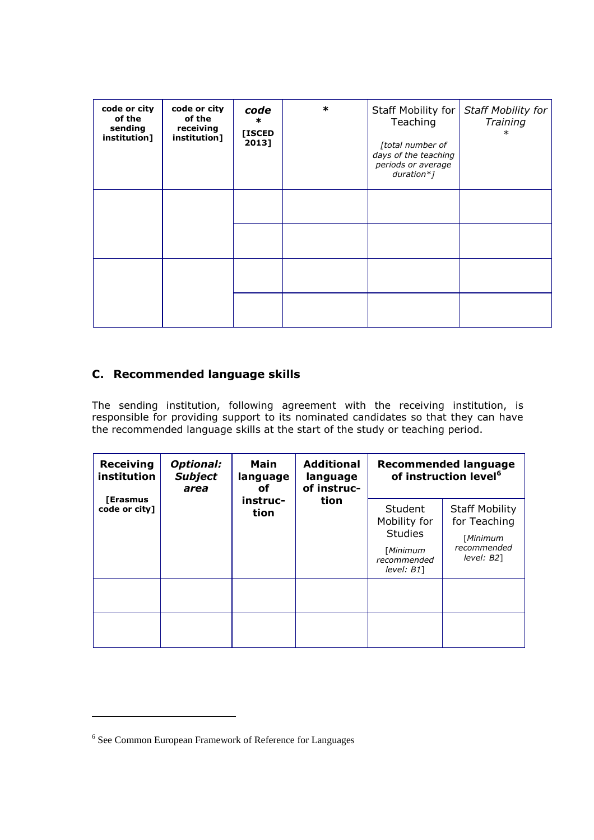| code or city<br>of the<br>sending<br>institution] | code or city<br>of the<br>receiving<br>institution] | code<br>$\ast$<br>[ISCED<br>2013] | $\ast$ | Staff Mobility for<br>Teaching<br>[total number of<br>days of the teaching<br>periods or average<br>$duration*$ ] | <b>Staff Mobility for</b><br>Training<br>$\ast$ |
|---------------------------------------------------|-----------------------------------------------------|-----------------------------------|--------|-------------------------------------------------------------------------------------------------------------------|-------------------------------------------------|
|                                                   |                                                     |                                   |        |                                                                                                                   |                                                 |
|                                                   |                                                     |                                   |        |                                                                                                                   |                                                 |
|                                                   |                                                     |                                   |        |                                                                                                                   |                                                 |

## **C. Recommended language skills**

The sending institution, following agreement with the receiving institution, is responsible for providing support to its nominated candidates so that they can have the recommended language skills at the start of the study or teaching period.

| <b>Receiving</b><br><b>Optional:</b><br>institution<br><b>Subject</b><br>area | <b>Main</b><br>language<br>оf | <b>Additional</b><br>language<br>of instruc- | <b>Recommended language</b><br>of instruction level <sup>6</sup> |                                                                                       |                                                                                   |
|-------------------------------------------------------------------------------|-------------------------------|----------------------------------------------|------------------------------------------------------------------|---------------------------------------------------------------------------------------|-----------------------------------------------------------------------------------|
| <b>[Erasmus</b><br>code or city]                                              |                               | instruc-<br>tion                             | tion                                                             | Student<br>Mobility for<br><b>Studies</b><br>[Minimum<br>recommended<br>$level: B1$ ] | <b>Staff Mobility</b><br>for Teaching<br>[Minimum<br>recommended<br>$level: B2$ ] |
|                                                                               |                               |                                              |                                                                  |                                                                                       |                                                                                   |
|                                                                               |                               |                                              |                                                                  |                                                                                       |                                                                                   |

 $\overline{a}$ 

<sup>&</sup>lt;sup>6</sup> See Common European Framework of Reference for Languages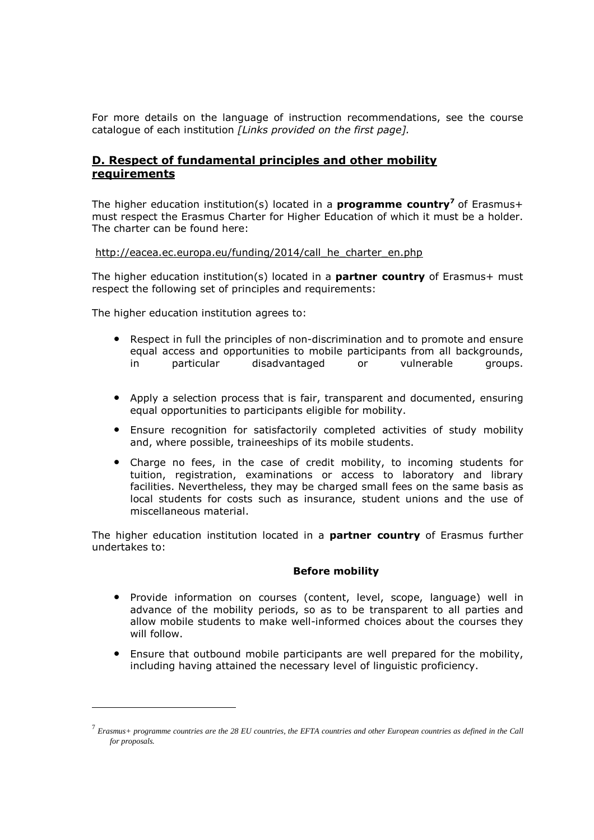For more details on the language of instruction recommendations, see the course catalogue of each institution *[Links provided on the first page].*

#### **D. Respect of fundamental principles and other mobility requirements**

The higher education institution(s) located in a **programme country<sup>7</sup>** of Erasmus+ must respect the Erasmus Charter for Higher Education of which it must be a holder. The charter can be found here:

#### [http://eacea.ec.europa.eu/funding/2014/call\\_he\\_charter\\_en.php](http://eacea.ec.europa.eu/funding/2014/call_he_charter_en.php)

The higher education institution(s) located in a **partner country** of Erasmus+ must respect the following set of principles and requirements:

The higher education institution agrees to:

 $\overline{a}$ 

- Respect in full the principles of non-discrimination and to promote and ensure equal access and opportunities to mobile participants from all backgrounds, in particular disadvantaged or vulnerable groups.
- Apply a selection process that is fair, transparent and documented, ensuring equal opportunities to participants eligible for mobility.
- Ensure recognition for satisfactorily completed activities of study mobility and, where possible, traineeships of its mobile students.
- Charge no fees, in the case of credit mobility, to incoming students for tuition, registration, examinations or access to laboratory and library facilities. Nevertheless, they may be charged small fees on the same basis as local students for costs such as insurance, student unions and the use of miscellaneous material.

The higher education institution located in a **partner country** of Erasmus further undertakes to:

#### **Before mobility**

- Provide information on courses (content, level, scope, language) well in advance of the mobility periods, so as to be transparent to all parties and allow mobile students to make well-informed choices about the courses they will follow.
- Ensure that outbound mobile participants are well prepared for the mobility, including having attained the necessary level of linguistic proficiency.

 $^7$  Erasmus+ programme countries are the 28 EU countries, the EFTA countries and other European countries as defined in the Call *for proposals.*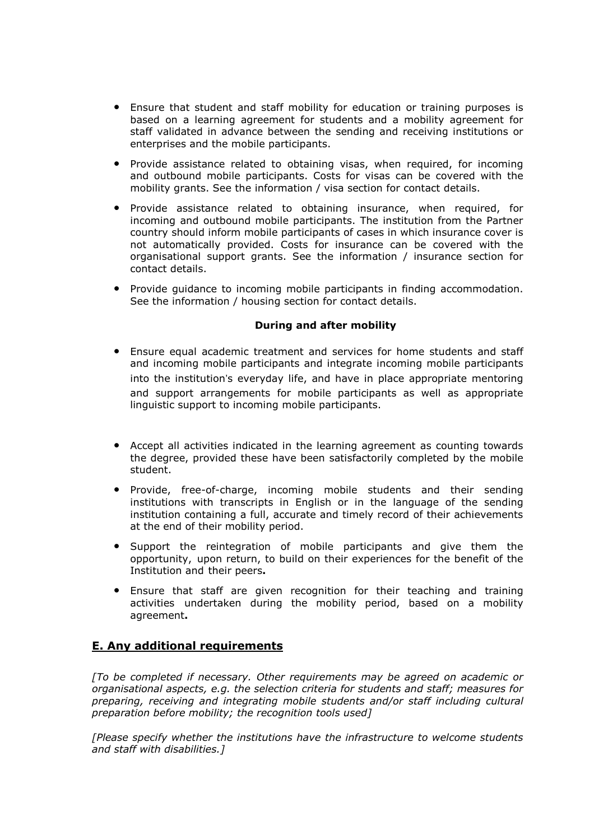- Ensure that student and staff mobility for education or training purposes is based on a learning agreement for students and a mobility agreement for staff validated in advance between the sending and receiving institutions or enterprises and the mobile participants.
- Provide assistance related to obtaining visas, when required, for incoming and outbound mobile participants. Costs for visas can be covered with the mobility grants. See the information / visa section for contact details.
- Provide assistance related to obtaining insurance, when required, for incoming and outbound mobile participants. The institution from the Partner country should inform mobile participants of cases in which insurance cover is not automatically provided. Costs for insurance can be covered with the organisational support grants. See the information / insurance section for contact details.
- Provide guidance to incoming mobile participants in finding accommodation. See the information / housing section for contact details.

#### **During and after mobility**

- Ensure equal academic treatment and services for home students and staff and incoming mobile participants and integrate incoming mobile participants into the institution's everyday life, and have in place appropriate mentoring and support arrangements for mobile participants as well as appropriate linguistic support to incoming mobile participants.
- Accept all activities indicated in the learning agreement as counting towards the degree, provided these have been satisfactorily completed by the mobile student.
- Provide, free-of-charge, incoming mobile students and their sending institutions with transcripts in English or in the language of the sending institution containing a full, accurate and timely record of their achievements at the end of their mobility period.
- Support the reintegration of mobile participants and give them the opportunity, upon return, to build on their experiences for the benefit of the Institution and their peers**.**
- Ensure that staff are given recognition for their teaching and training activities undertaken during the mobility period, based on a mobility agreement**.**

### **E. Any additional requirements**

*[To be completed if necessary. Other requirements may be agreed on academic or organisational aspects, e.g. the selection criteria for students and staff; measures for preparing, receiving and integrating mobile students and/or staff including cultural preparation before mobility; the recognition tools used]*

*[Please specify whether the institutions have the infrastructure to welcome students and staff with disabilities.]*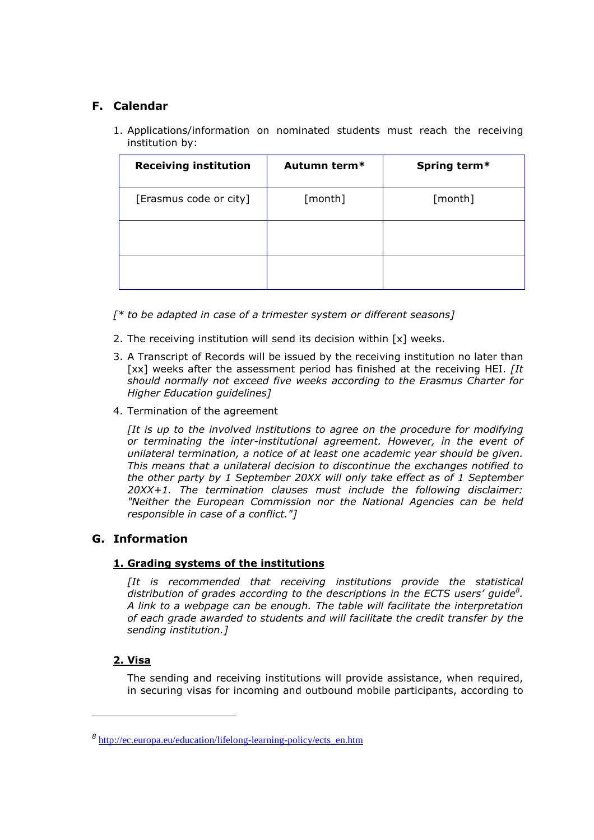## **F. Calendar**

1. Applications/information on nominated students must reach the receiving institution by:

| <b>Receiving institution</b> | Autumn term* | Spring term* |
|------------------------------|--------------|--------------|
| [Erasmus code or city]       | [month]      | [month]      |
|                              |              |              |
|                              |              |              |

- *[\* to be adapted in case of a trimester system or different seasons]*
- 2. The receiving institution will send its decision within [x] weeks.
- 3. A Transcript of Records will be issued by the receiving institution no later than [xx] weeks after the assessment period has finished at the receiving HEI. *[It should normally not exceed five weeks according to the Erasmus Charter for Higher Education guidelines]*
- 4. Termination of the agreement

*[It is up to the involved institutions to agree on the procedure for modifying or terminating the inter-institutional agreement. However, in the event of unilateral termination, a notice of at least one academic year should be given. This means that a unilateral decision to discontinue the exchanges notified to the other party by 1 September 20XX will only take effect as of 1 September 20XX+1. The termination clauses must include the following disclaimer: "Neither the European Commission nor the National Agencies can be held responsible in case of a conflict."]*

#### **G. Information**

#### **1. Grading systems of the institutions**

*[It is recommended that receiving institutions provide the statistical distribution of grades according to the descriptions in the ECTS users' guide<sup>8</sup> . A link to a webpage can be enough. The table will facilitate the interpretation of each grade awarded to students and will facilitate the credit transfer by the sending institution.]*

#### **2. Visa**

The sending and receiving institutions will provide assistance, when required, in securing visas for incoming and outbound mobile participants, according to

*<sup>8</sup>* [http://ec.europa.eu/education/lifelong-learning-policy/ects\\_en.htm](http://ec.europa.eu/education/lifelong-learning-policy/ects_en.htm)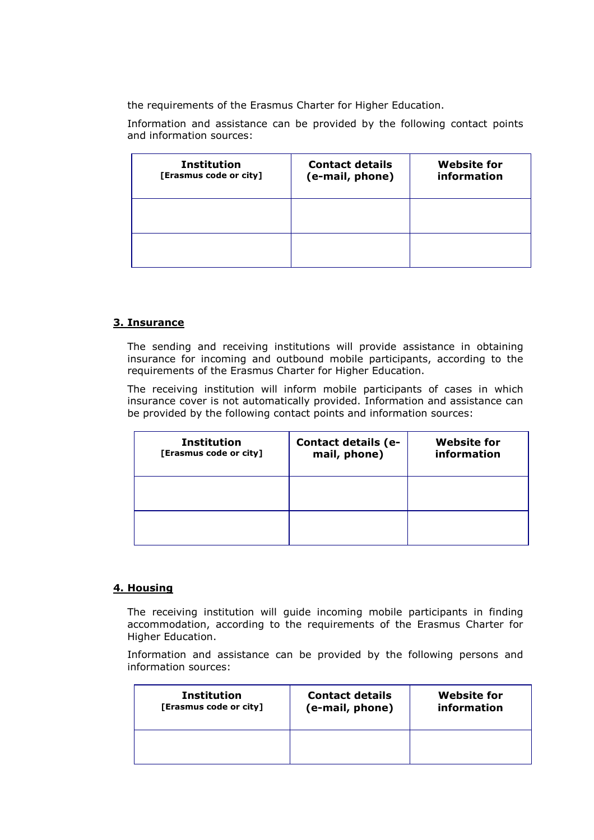the requirements of the Erasmus Charter for Higher Education.

Information and assistance can be provided by the following contact points and information sources:

| <b>Institution</b><br>[Erasmus code or city] | <b>Contact details</b><br>(e-mail, phone) | <b>Website for</b><br>information |
|----------------------------------------------|-------------------------------------------|-----------------------------------|
|                                              |                                           |                                   |
|                                              |                                           |                                   |

#### **3. Insurance**

The sending and receiving institutions will provide assistance in obtaining insurance for incoming and outbound mobile participants, according to the requirements of the Erasmus Charter for Higher Education.

The receiving institution will inform mobile participants of cases in which insurance cover is not automatically provided. Information and assistance can be provided by the following contact points and information sources:

| <b>Institution</b><br>[Erasmus code or city] | Contact details (e-<br>mail, phone) | <b>Website for</b><br>information |
|----------------------------------------------|-------------------------------------|-----------------------------------|
|                                              |                                     |                                   |
|                                              |                                     |                                   |

#### **4. Housing**

The receiving institution will guide incoming mobile participants in finding accommodation, according to the requirements of the Erasmus Charter for Higher Education.

Information and assistance can be provided by the following persons and information sources:

| <b>Institution</b>     | <b>Contact details</b> | <b>Website for</b> |
|------------------------|------------------------|--------------------|
| [Erasmus code or city] | (e-mail, phone)        | information        |
|                        |                        |                    |